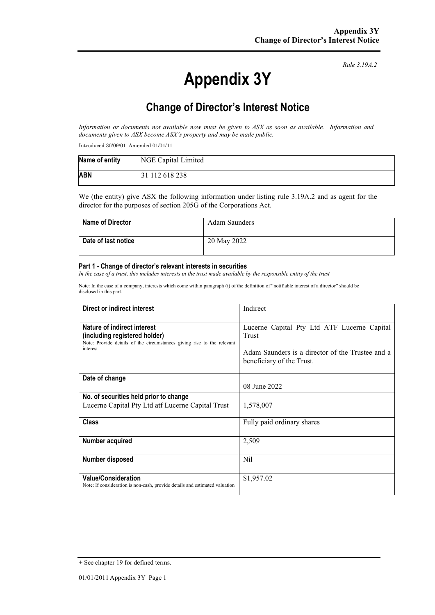# **Appendix 3Y**

*Rule 3.19A.2*

# **Change of Director's Interest Notice**

*Information or documents not available now must be given to ASX as soon as available. Information and documents given to ASX become ASX's property and may be made public.*

Introduced 30/09/01 Amended 01/01/11

| Name of entity | NGE Capital Limited |
|----------------|---------------------|
| <b>ABN</b>     | 31 112 618 238      |

We (the entity) give ASX the following information under listing rule 3.19A.2 and as agent for the director for the purposes of section 205G of the Corporations Act.

| <b>Name of Director</b> | Adam Saunders |
|-------------------------|---------------|
| Date of last notice     | 20 May 2022   |

#### **Part 1 - Change of director's relevant interests in securities**

*In the case of a trust, this includes interests in the trust made available by the responsible entity of the trust*

Note: In the case of a company, interests which come within paragraph (i) of the definition of "notifiable interest of a director" should be disclosed in this part.

| Direct or indirect interest                                                                                                                         | Indirect                                                                                                                              |  |
|-----------------------------------------------------------------------------------------------------------------------------------------------------|---------------------------------------------------------------------------------------------------------------------------------------|--|
| Nature of indirect interest<br>(including registered holder)<br>Note: Provide details of the circumstances giving rise to the relevant<br>interest. | Lucerne Capital Pty Ltd ATF Lucerne Capital<br>Trust<br>Adam Saunders is a director of the Trustee and a<br>beneficiary of the Trust. |  |
| Date of change                                                                                                                                      | 08 June 2022                                                                                                                          |  |
| No. of securities held prior to change                                                                                                              |                                                                                                                                       |  |
| Lucerne Capital Pty Ltd atf Lucerne Capital Trust                                                                                                   | 1,578,007                                                                                                                             |  |
| <b>Class</b>                                                                                                                                        | Fully paid ordinary shares                                                                                                            |  |
| Number acquired                                                                                                                                     | 2,509                                                                                                                                 |  |
| Number disposed                                                                                                                                     | Nil                                                                                                                                   |  |
| <b>Value/Consideration</b><br>Note: If consideration is non-cash, provide details and estimated valuation                                           | \$1,957.02                                                                                                                            |  |

<sup>+</sup> See chapter 19 for defined terms.